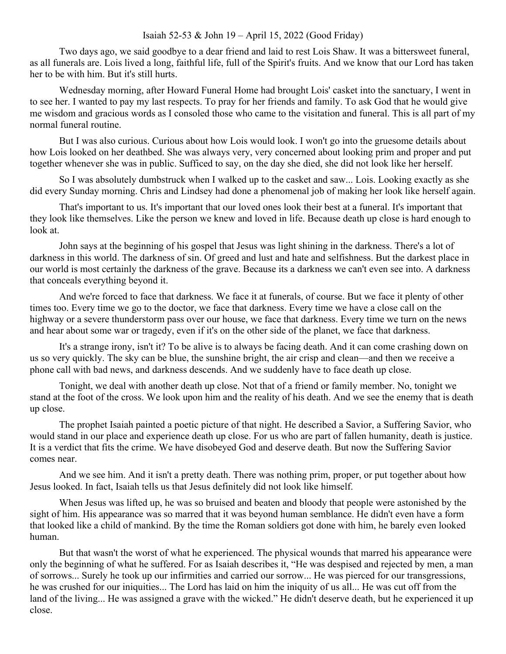## Isaiah 52-53 & John 19 – April 15, 2022 (Good Friday)

Two days ago, we said goodbye to a dear friend and laid to rest Lois Shaw. It was a bittersweet funeral, as all funerals are. Lois lived a long, faithful life, full of the Spirit's fruits. And we know that our Lord has taken her to be with him. But it's still hurts.

Wednesday morning, after Howard Funeral Home had brought Lois' casket into the sanctuary, I went in to see her. I wanted to pay my last respects. To pray for her friends and family. To ask God that he would give me wisdom and gracious words as I consoled those who came to the visitation and funeral. This is all part of my normal funeral routine.

But I was also curious. Curious about how Lois would look. I won't go into the gruesome details about how Lois looked on her deathbed. She was always very, very concerned about looking prim and proper and put together whenever she was in public. Sufficed to say, on the day she died, she did not look like her herself.

So I was absolutely dumbstruck when I walked up to the casket and saw... Lois. Looking exactly as she did every Sunday morning. Chris and Lindsey had done a phenomenal job of making her look like herself again.

That's important to us. It's important that our loved ones look their best at a funeral. It's important that they look like themselves. Like the person we knew and loved in life. Because death up close is hard enough to look at.

John says at the beginning of his gospel that Jesus was light shining in the darkness. There's a lot of darkness in this world. The darkness of sin. Of greed and lust and hate and selfishness. But the darkest place in our world is most certainly the darkness of the grave. Because its a darkness we can't even see into. A darkness that conceals everything beyond it.

And we're forced to face that darkness. We face it at funerals, of course. But we face it plenty of other times too. Every time we go to the doctor, we face that darkness. Every time we have a close call on the highway or a severe thunderstorm pass over our house, we face that darkness. Every time we turn on the news and hear about some war or tragedy, even if it's on the other side of the planet, we face that darkness.

It's a strange irony, isn't it? To be alive is to always be facing death. And it can come crashing down on us so very quickly. The sky can be blue, the sunshine bright, the air crisp and clean—and then we receive a phone call with bad news, and darkness descends. And we suddenly have to face death up close.

Tonight, we deal with another death up close. Not that of a friend or family member. No, tonight we stand at the foot of the cross. We look upon him and the reality of his death. And we see the enemy that is death up close.

The prophet Isaiah painted a poetic picture of that night. He described a Savior, a Suffering Savior, who would stand in our place and experience death up close. For us who are part of fallen humanity, death is justice. It is a verdict that fits the crime. We have disobeyed God and deserve death. But now the Suffering Savior comes near.

And we see him. And it isn't a pretty death. There was nothing prim, proper, or put together about how Jesus looked. In fact, Isaiah tells us that Jesus definitely did not look like himself.

When Jesus was lifted up, he was so bruised and beaten and bloody that people were astonished by the sight of him. His appearance was so marred that it was beyond human semblance. He didn't even have a form that looked like a child of mankind. By the time the Roman soldiers got done with him, he barely even looked human.

But that wasn't the worst of what he experienced. The physical wounds that marred his appearance were only the beginning of what he suffered. For as Isaiah describes it, "He was despised and rejected by men, a man of sorrows... Surely he took up our infirmities and carried our sorrow... He was pierced for our transgressions, he was crushed for our iniquities... The Lord has laid on him the iniquity of us all... He was cut off from the land of the living... He was assigned a grave with the wicked." He didn't deserve death, but he experienced it up close.